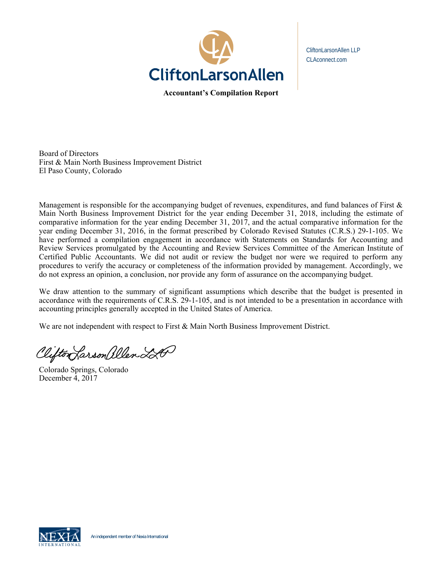

CliftonLarsonAllen LLP CLAconnect.com

**Accountant's Compilation Report** 

Board of Directors First & Main North Business Improvement District El Paso County, Colorado

Management is responsible for the accompanying budget of revenues, expenditures, and fund balances of First & Main North Business Improvement District for the year ending December 31, 2018, including the estimate of comparative information for the year ending December 31, 2017, and the actual comparative information for the year ending December 31, 2016, in the format prescribed by Colorado Revised Statutes (C.R.S.) 29-1-105. We have performed a compilation engagement in accordance with Statements on Standards for Accounting and Review Services promulgated by the Accounting and Review Services Committee of the American Institute of Certified Public Accountants. We did not audit or review the budget nor were we required to perform any procedures to verify the accuracy or completeness of the information provided by management. Accordingly, we do not express an opinion, a conclusion, nor provide any form of assurance on the accompanying budget.

We draw attention to the summary of significant assumptions which describe that the budget is presented in accordance with the requirements of C.R.S. 29-1-105, and is not intended to be a presentation in accordance with accounting principles generally accepted in the United States of America.

We are not independent with respect to First & Main North Business Improvement District.

Clifton Larson allen 220

Colorado Springs, Colorado December 4, 2017

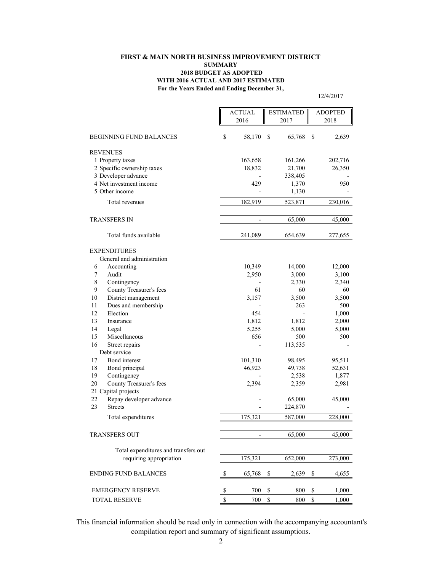#### **For the Years Ended and Ending December 31, FIRST & MAIN NORTH BUSINESS IMPROVEMENT DISTRICT SUMMARY 2018 BUDGET AS ADOPTED WITH 2016 ACTUAL AND 2017 ESTIMATED**

12/4/2017

|                                      |              | <b>ACTUAL</b><br>2016 | <b>ESTIMATED</b><br>2017 | <b>ADOPTED</b><br>2018 |         |
|--------------------------------------|--------------|-----------------------|--------------------------|------------------------|---------|
|                                      |              |                       |                          |                        |         |
| <b>BEGINNING FUND BALANCES</b>       | \$           | 58,170                | 65,768<br>S              | S                      | 2,639   |
| <b>REVENUES</b>                      |              |                       |                          |                        |         |
| 1 Property taxes                     |              | 163,658               | 161,266                  |                        | 202,716 |
| 2 Specific ownership taxes           |              | 18,832                | 21,700                   |                        | 26,350  |
| 3 Developer advance                  |              |                       | 338,405                  |                        |         |
| 4 Net investment income              |              | 429                   | 1,370                    |                        | 950     |
| 5 Other income                       |              |                       | 1,130                    |                        |         |
| Total revenues                       |              | 182,919               | 523,871                  |                        | 230,016 |
| <b>TRANSFERS IN</b>                  |              |                       | 65,000                   |                        | 45,000  |
|                                      |              |                       |                          |                        |         |
| Total funds available                |              | 241,089               | 654,639                  |                        | 277,655 |
| <b>EXPENDITURES</b>                  |              |                       |                          |                        |         |
| General and administration           |              |                       |                          |                        |         |
| 6<br>Accounting                      |              | 10,349                | 14,000                   |                        | 12,000  |
| 7<br>Audit                           |              | 2,950                 | 3,000                    |                        | 3,100   |
| 8<br>Contingency                     |              |                       | 2,330                    |                        | 2,340   |
| 9<br>County Treasurer's fees         |              | 61                    | 60                       |                        | 60      |
| District management<br>10            |              | 3,157                 | 3,500                    |                        | 3,500   |
| Dues and membership<br>11            |              |                       | 263                      |                        | 500     |
| 12<br>Election                       |              | 454                   |                          |                        | 1,000   |
| 13<br>Insurance                      |              | 1,812                 | 1,812                    |                        | 2,000   |
| 14<br>Legal                          |              | 5,255                 | 5,000                    |                        | 5,000   |
| 15<br>Miscellaneous                  |              | 656                   | 500                      |                        | 500     |
| 16<br>Street repairs                 |              |                       | 113,535                  |                        |         |
| Debt service                         |              |                       |                          |                        |         |
| 17<br>Bond interest                  |              | 101,310               | 98,495                   |                        | 95,511  |
| Bond principal<br>18                 |              | 46,923                | 49,738                   |                        | 52,631  |
| 19<br>Contingency                    |              |                       | 2,538                    |                        | 1,877   |
| 20<br>County Treasurer's fees        |              | 2,394                 | 2,359                    |                        | 2,981   |
| 21 Capital projects                  |              |                       |                          |                        |         |
| Repay developer advance<br>22        |              |                       | 65,000                   |                        | 45,000  |
| 23<br><b>Streets</b>                 |              |                       | 224,870                  |                        |         |
| Total expenditures                   |              | 175,321               | 587,000                  |                        | 228,000 |
| <b>TRANSFERS OUT</b>                 |              |                       | 65,000                   |                        | 45,000  |
|                                      |              |                       |                          |                        |         |
| Total expenditures and transfers out |              |                       |                          |                        |         |
| requiring appropriation              |              | 175,321               | 652,000                  |                        | 273,000 |
| <b>ENDING FUND BALANCES</b>          | S            | 65,768                | \$<br>2,639              | \$                     | 4,655   |
| <b>EMERGENCY RESERVE</b>             | \$           | 700                   | \$<br>800                | \$                     | 1,000   |
| TOTAL RESERVE                        | $\mathbb{S}$ | 700                   | $\mathbb S$<br>800       | $\mathbb{S}$           | 1,000   |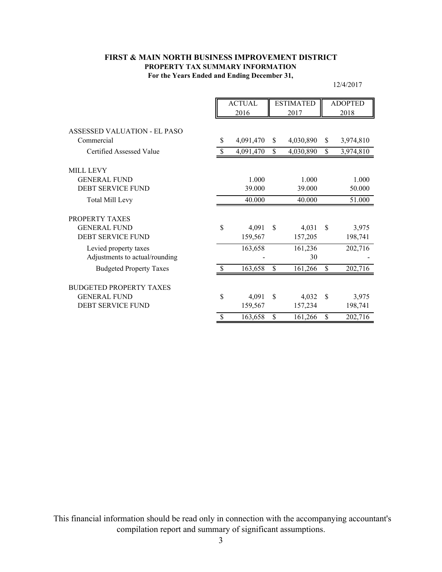# **For the Years Ended and Ending December 31, FIRST & MAIN NORTH BUSINESS IMPROVEMENT DISTRICT PROPERTY TAX SUMMARY INFORMATION**

12/4/2017

|                                | <b>ACTUAL</b> |           | <b>ESTIMATED</b> |           | <b>ADOPTED</b> |           |
|--------------------------------|---------------|-----------|------------------|-----------|----------------|-----------|
|                                | 2016          |           | 2017             |           | 2018           |           |
|                                |               |           |                  |           |                |           |
| ASSESSED VALUATION - EL PASO   |               |           |                  |           |                |           |
| Commercial                     | \$            | 4,091,470 | \$               | 4,030,890 | S.             | 3,974,810 |
| Certified Assessed Value       |               | 4,091,470 | \$               | 4,030,890 | \$             | 3,974,810 |
| <b>MILL LEVY</b>               |               |           |                  |           |                |           |
| <b>GENERAL FUND</b>            |               | 1.000     |                  | 1.000     |                | 1.000     |
| <b>DEBT SERVICE FUND</b>       |               | 39.000    |                  | 39.000    |                | 50.000    |
|                                |               |           |                  |           |                |           |
| <b>Total Mill Levy</b>         |               | 40.000    |                  | 40.000    |                | 51.000    |
| PROPERTY TAXES                 |               |           |                  |           |                |           |
| <b>GENERAL FUND</b>            |               |           | \$               |           | \$             |           |
|                                | \$            | 4,091     |                  | 4,031     |                | 3,975     |
| <b>DEBT SERVICE FUND</b>       |               | 159,567   |                  | 157,205   |                | 198,741   |
| Levied property taxes          |               | 163,658   |                  | 161,236   |                | 202,716   |
| Adjustments to actual/rounding |               |           |                  | 30        |                |           |
| <b>Budgeted Property Taxes</b> | <sup>\$</sup> | 163,658   | \$               | 161,266   | \$             | 202,716   |
|                                |               |           |                  |           |                |           |
| <b>BUDGETED PROPERTY TAXES</b> |               |           |                  |           |                |           |
| <b>GENERAL FUND</b>            | \$            | 4,091     | \$.              | 4,032     | <sup>\$</sup>  | 3,975     |
| DEBT SERVICE FUND              |               | 159,567   |                  | 157,234   |                | 198,741   |
|                                | \$            | 163,658   | \$               | 161,266   | \$             | 202,716   |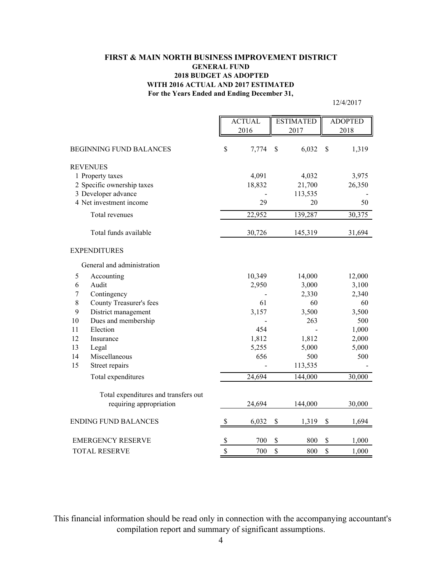# **For the Years Ended and Ending December 31, FIRST & MAIN NORTH BUSINESS IMPROVEMENT DISTRICT GENERAL FUND 2018 BUDGET AS ADOPTED WITH 2016 ACTUAL AND 2017 ESTIMATED**

12/4/2017

|         |                                      |               | <b>ACTUAL</b> |                           | <b>ESTIMATED</b> |             | <b>ADOPTED</b> |
|---------|--------------------------------------|---------------|---------------|---------------------------|------------------|-------------|----------------|
|         |                                      |               | 2016          |                           | 2017             |             | 2018           |
|         | <b>BEGINNING FUND BALANCES</b>       | \$            | 7,774         | $\mathbf{\hat{S}}$        | 6,032            | $\mathbf S$ | 1,319          |
|         | <b>REVENUES</b>                      |               |               |                           |                  |             |                |
|         | 1 Property taxes                     |               | 4,091         |                           | 4,032            |             | 3,975          |
|         | 2 Specific ownership taxes           |               | 18,832        |                           | 21,700           |             | 26,350         |
|         | 3 Developer advance                  |               |               |                           | 113,535          |             |                |
|         | 4 Net investment income              |               | 29            |                           | 20               |             | 50             |
|         | Total revenues                       |               | 22,952        |                           | 139,287          |             | 30,375         |
|         | Total funds available                |               | 30,726        |                           | 145,319          |             | 31,694         |
|         | <b>EXPENDITURES</b>                  |               |               |                           |                  |             |                |
|         | General and administration           |               |               |                           |                  |             |                |
| 5       | Accounting                           |               | 10,349        |                           | 14,000           |             | 12,000         |
| 6       | Audit                                |               | 2,950         |                           | 3,000            |             | 3,100          |
| $\tau$  | Contingency                          |               |               |                           | 2,330            |             | 2,340          |
| $\,8\,$ | County Treasurer's fees              |               | 61            |                           | 60               |             | 60             |
| 9       | District management                  |               | 3,157         |                           | 3,500            |             | 3,500          |
| 10      | Dues and membership                  |               |               |                           | 263              |             | 500            |
| 11      | Election                             |               | 454           |                           |                  |             | 1,000          |
| 12      | Insurance                            |               | 1,812         |                           | 1,812            |             | 2,000          |
| 13      | Legal                                |               | 5,255         |                           | 5,000            |             | 5,000          |
| 14      | Miscellaneous                        |               | 656           |                           | 500              |             | 500            |
| 15      | Street repairs                       |               |               |                           | 113,535          |             |                |
|         | Total expenditures                   |               | 24,694        |                           | 144,000          |             | 30,000         |
|         | Total expenditures and transfers out |               |               |                           |                  |             |                |
|         | requiring appropriation              |               | 24,694        |                           | 144,000          |             | 30,000         |
|         | <b>ENDING FUND BALANCES</b>          | \$            | 6,032         | $\boldsymbol{\mathsf{S}}$ | 1,319            | \$          | 1,694          |
|         | <b>EMERGENCY RESERVE</b>             | \$            | 700           | \$                        | 800              | \$          | 1,000          |
|         | <b>TOTAL RESERVE</b>                 | $\mathsf{\$}$ | 700           | \$                        | 800              | \$          | 1,000          |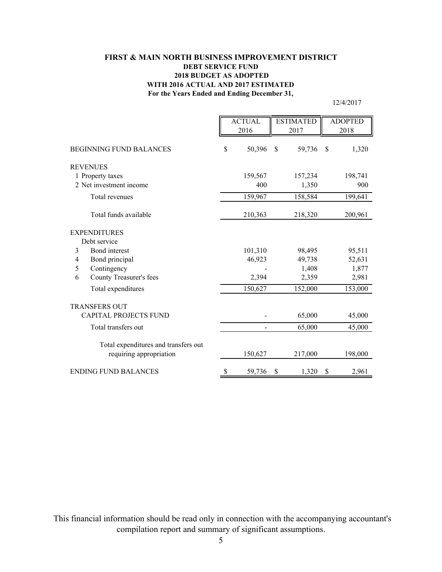# **For the Years Ended and Ending December 31, FIRST & MAIN NORTH BUSINESS IMPROVEMENT DISTRICT DEBT SERVICE FUND 2018 BUDGET AS ADOPTED WITH 2016 ACTUAL AND 2017 ESTIMATED**

12/4/2017

|                                      |    | <b>ACTUAL</b> | <b>ESTIMATED</b> |               | <b>ADOPTED</b> |
|--------------------------------------|----|---------------|------------------|---------------|----------------|
|                                      |    | 2016          | 2017             |               | 2018           |
| <b>BEGINNING FUND BALANCES</b>       |    | 50,396        | \$<br>59,736     | <sup>\$</sup> | 1,320          |
| REVENUES                             |    |               |                  |               |                |
| 1 Property taxes                     |    | 159,567       | 157,234          |               | 198,741        |
| 2 Net investment income              |    | 400           | 1,350            |               | 900            |
| Total revenues                       |    | 159,967       | 158,584          |               | 199,641        |
| Total funds available                |    | 210,363       | 218,320          |               | 200,961        |
| <b>EXPENDITURES</b>                  |    |               |                  |               |                |
| Debt service                         |    |               |                  |               |                |
| Bond interest<br>3                   |    | 101,310       | 98,495           |               | 95,511         |
| Bond principal<br>4                  |    | 46,923        | 49,738           |               | 52,631         |
| Contingency<br>5                     |    |               | 1,408            |               | 1,877          |
| County Treasurer's fees<br>6         |    | 2,394         | 2,359            |               | 2,981          |
| Total expenditures                   |    | 150,627       | 152,000          |               | 153,000        |
| <b>TRANSFERS OUT</b>                 |    |               |                  |               |                |
| <b>CAPITAL PROJECTS FUND</b>         |    |               | 65,000           |               | 45,000         |
| Total transfers out                  |    |               | 65,000           |               | 45,000         |
| Total expenditures and transfers out |    |               |                  |               |                |
| requiring appropriation              |    | 150,627       | 217,000          |               | 198,000        |
| <b>ENDING FUND BALANCES</b>          | \$ | 59,736        | \$<br>1,320      | \$            | 2,961          |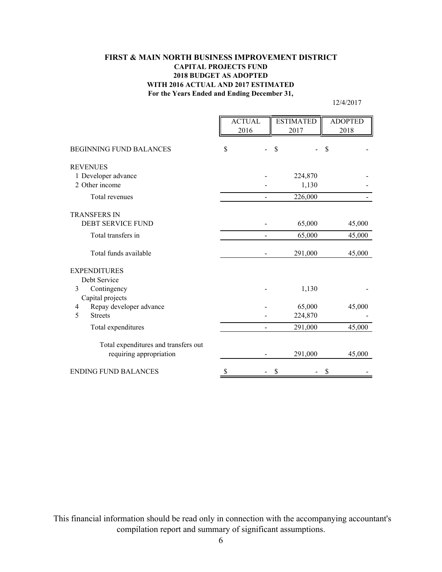# **For the Years Ended and Ending December 31, FIRST & MAIN NORTH BUSINESS IMPROVEMENT DISTRICT CAPITAL PROJECTS FUND 2018 BUDGET AS ADOPTED WITH 2016 ACTUAL AND 2017 ESTIMATED**

12/4/2017

|                                                     | <b>ACTUAL</b><br>2016    | <b>ESTIMATED</b><br>2017 | <b>ADOPTED</b><br>2018 |
|-----------------------------------------------------|--------------------------|--------------------------|------------------------|
| <b>BEGINNING FUND BALANCES</b>                      | \$                       | $\mathbf S$              | \$                     |
| <b>REVENUES</b>                                     |                          |                          |                        |
| 1 Developer advance                                 |                          | 224,870                  |                        |
| 2 Other income                                      |                          | 1,130                    |                        |
| Total revenues                                      |                          | 226,000                  |                        |
| <b>TRANSFERS IN</b>                                 |                          |                          |                        |
| <b>DEBT SERVICE FUND</b>                            |                          | 65,000                   | 45,000                 |
| Total transfers in                                  | $\overline{\phantom{0}}$ | 65,000                   | 45,000                 |
| Total funds available                               |                          | 291,000                  | 45,000                 |
| <b>EXPENDITURES</b>                                 |                          |                          |                        |
| Debt Service                                        |                          |                          |                        |
| Contingency<br>3                                    |                          | 1,130                    |                        |
| Capital projects                                    |                          |                          |                        |
| Repay developer advance<br>4<br>5<br><b>Streets</b> |                          | 65,000                   | 45,000                 |
|                                                     |                          | 224,870                  |                        |
| Total expenditures                                  |                          | 291,000                  | 45,000                 |
| Total expenditures and transfers out                |                          |                          |                        |
| requiring appropriation                             |                          | 291,000                  | 45,000                 |
| <b>ENDING FUND BALANCES</b>                         | \$                       | S                        | \$                     |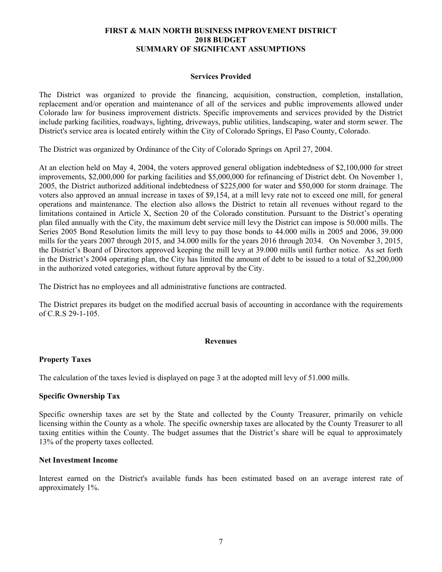### **FIRST & MAIN NORTH BUSINESS IMPROVEMENT DISTRICT 2018 BUDGET SUMMARY OF SIGNIFICANT ASSUMPTIONS**

#### **Services Provided**

The District was organized to provide the financing, acquisition, construction, completion, installation, replacement and/or operation and maintenance of all of the services and public improvements allowed under Colorado law for business improvement districts. Specific improvements and services provided by the District include parking facilities, roadways, lighting, driveways, public utilities, landscaping, water and storm sewer. The District's service area is located entirely within the City of Colorado Springs, El Paso County, Colorado.

The District was organized by Ordinance of the City of Colorado Springs on April 27, 2004.

At an election held on May 4, 2004, the voters approved general obligation indebtedness of \$2,100,000 for street improvements, \$2,000,000 for parking facilities and \$5,000,000 for refinancing of District debt. On November 1, 2005, the District authorized additional indebtedness of \$225,000 for water and \$50,000 for storm drainage. The voters also approved an annual increase in taxes of \$9,154, at a mill levy rate not to exceed one mill, for general operations and maintenance. The election also allows the District to retain all revenues without regard to the limitations contained in Article X, Section 20 of the Colorado constitution. Pursuant to the District's operating plan filed annually with the City, the maximum debt service mill levy the District can impose is 50.000 mills. The Series 2005 Bond Resolution limits the mill levy to pay those bonds to 44.000 mills in 2005 and 2006, 39.000 mills for the years 2007 through 2015, and 34.000 mills for the years 2016 through 2034. On November 3, 2015, the District's Board of Directors approved keeping the mill levy at 39.000 mills until further notice. As set forth in the District's 2004 operating plan, the City has limited the amount of debt to be issued to a total of \$2,200,000 in the authorized voted categories, without future approval by the City.

The District has no employees and all administrative functions are contracted.

The District prepares its budget on the modified accrual basis of accounting in accordance with the requirements of C.R.S 29-1-105.

# **Revenues**

# **Property Taxes**

The calculation of the taxes levied is displayed on page 3 at the adopted mill levy of 51.000 mills.

#### **Specific Ownership Tax**

Specific ownership taxes are set by the State and collected by the County Treasurer, primarily on vehicle licensing within the County as a whole. The specific ownership taxes are allocated by the County Treasurer to all taxing entities within the County. The budget assumes that the District's share will be equal to approximately 13% of the property taxes collected.

#### **Net Investment Income**

Interest earned on the District's available funds has been estimated based on an average interest rate of approximately 1%.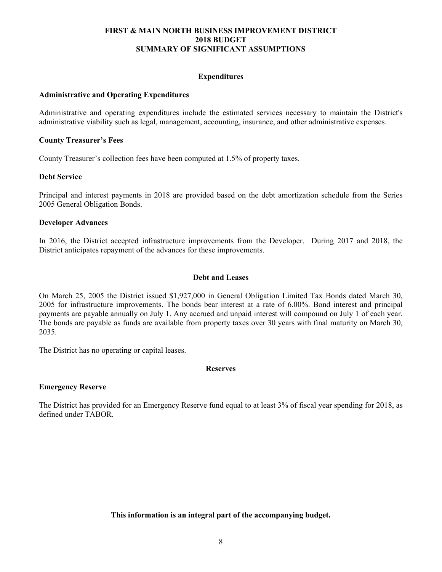### **FIRST & MAIN NORTH BUSINESS IMPROVEMENT DISTRICT 2018 BUDGET SUMMARY OF SIGNIFICANT ASSUMPTIONS**

# **Expenditures**

### **Administrative and Operating Expenditures**

Administrative and operating expenditures include the estimated services necessary to maintain the District's administrative viability such as legal, management, accounting, insurance, and other administrative expenses.

### **County Treasurer's Fees**

County Treasurer's collection fees have been computed at 1.5% of property taxes.

### **Debt Service**

Principal and interest payments in 2018 are provided based on the debt amortization schedule from the Series 2005 General Obligation Bonds.

#### **Developer Advances**

In 2016, the District accepted infrastructure improvements from the Developer. During 2017 and 2018, the District anticipates repayment of the advances for these improvements.

#### **Debt and Leases**

On March 25, 2005 the District issued \$1,927,000 in General Obligation Limited Tax Bonds dated March 30, 2005 for infrastructure improvements. The bonds bear interest at a rate of 6.00%. Bond interest and principal payments are payable annually on July 1. Any accrued and unpaid interest will compound on July 1 of each year. The bonds are payable as funds are available from property taxes over 30 years with final maturity on March 30, 2035.

The District has no operating or capital leases.

# **Reserves**

# **Emergency Reserve**

The District has provided for an Emergency Reserve fund equal to at least 3% of fiscal year spending for 2018, as defined under TABOR.

**This information is an integral part of the accompanying budget.**